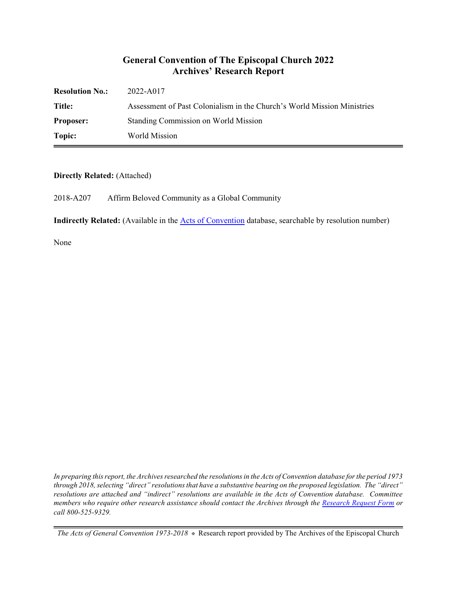### **General Convention of The Episcopal Church 2022 Archives' Research Report**

| <b>Resolution No.:</b> | 2022-A017                                                               |
|------------------------|-------------------------------------------------------------------------|
| Title:                 | Assessment of Past Colonialism in the Church's World Mission Ministries |
| <b>Proposer:</b>       | Standing Commission on World Mission                                    |
| Topic:                 | World Mission                                                           |

#### **Directly Related:** (Attached)

2018-A207 Affirm Beloved Community as a Global Community

**Indirectly Related:** (Available in the [Acts of Convention](https://www.episcopalarchives.org/e-archives/acts/) database, searchable by resolution number)

None

*In preparing this report, the Archives researched the resolutions in the Acts of Convention database for the period 1973 through 2018, selecting "direct" resolutions that have a substantive bearing on the proposed legislation. The "direct" resolutions are attached and "indirect" resolutions are available in the Acts of Convention database. Committee members who require other research assistance should contact the Archives through the Research [Request Form](https://www.episcopalarchives.org/contact/research-request-form) or call 800-525-9329.*

*The Acts of General Convention 1973-2018*  $*$  Research report provided by The Archives of the Episcopal Church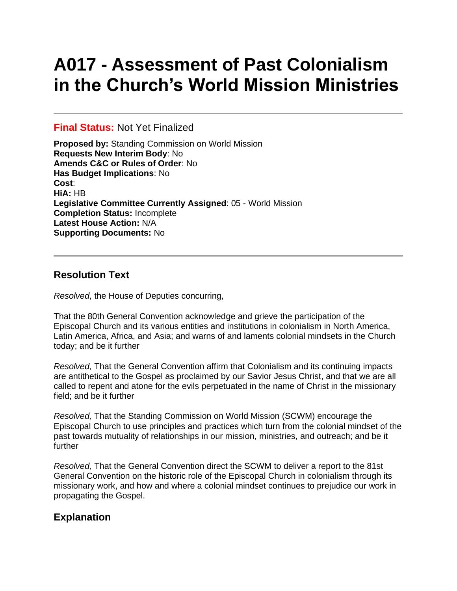# **A017 - Assessment of Past Colonialism in the Church's World Mission Ministries**

#### **Final Status:** Not Yet Finalized

**Proposed by:** Standing Commission on World Mission **Requests New Interim Body**: No **Amends C&C or Rules of Order**: No **Has Budget Implications**: No **Cost**: **HiA:** HB **Legislative Committee Currently Assigned**: 05 - World Mission **Completion Status:** Incomplete **Latest House Action:** N/A **Supporting Documents:** No

## **Resolution Text**

*Resolved*, the House of Deputies concurring,

That the 80th General Convention acknowledge and grieve the participation of the Episcopal Church and its various entities and institutions in colonialism in North America, Latin America, Africa, and Asia; and warns of and laments colonial mindsets in the Church today; and be it further

*Resolved,* That the General Convention affirm that Colonialism and its continuing impacts are antithetical to the Gospel as proclaimed by our Savior Jesus Christ, and that we are all called to repent and atone for the evils perpetuated in the name of Christ in the missionary field; and be it further

*Resolved,* That the Standing Commission on World Mission (SCWM) encourage the Episcopal Church to use principles and practices which turn from the colonial mindset of the past towards mutuality of relationships in our mission, ministries, and outreach; and be it further

*Resolved,* That the General Convention direct the SCWM to deliver a report to the 81st General Convention on the historic role of the Episcopal Church in colonialism through its missionary work, and how and where a colonial mindset continues to prejudice our work in propagating the Gospel.

# **Explanation**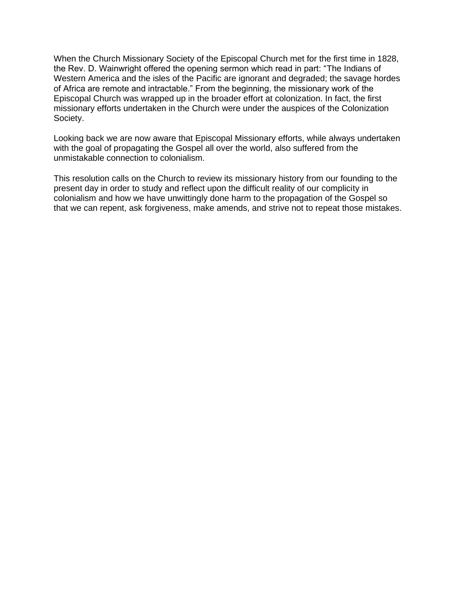When the Church Missionary Society of the Episcopal Church met for the first time in 1828, the Rev. D. Wainwright offered the opening sermon which read in part: "The Indians of Western America and the isles of the Pacific are ignorant and degraded; the savage hordes of Africa are remote and intractable." From the beginning, the missionary work of the Episcopal Church was wrapped up in the broader effort at colonization. In fact, the first missionary efforts undertaken in the Church were under the auspices of the Colonization Society.

Looking back we are now aware that Episcopal Missionary efforts, while always undertaken with the goal of propagating the Gospel all over the world, also suffered from the unmistakable connection to colonialism.

This resolution calls on the Church to review its missionary history from our founding to the present day in order to study and reflect upon the difficult reality of our complicity in colonialism and how we have unwittingly done harm to the propagation of the Gospel so that we can repent, ask forgiveness, make amends, and strive not to repeat those mistakes.